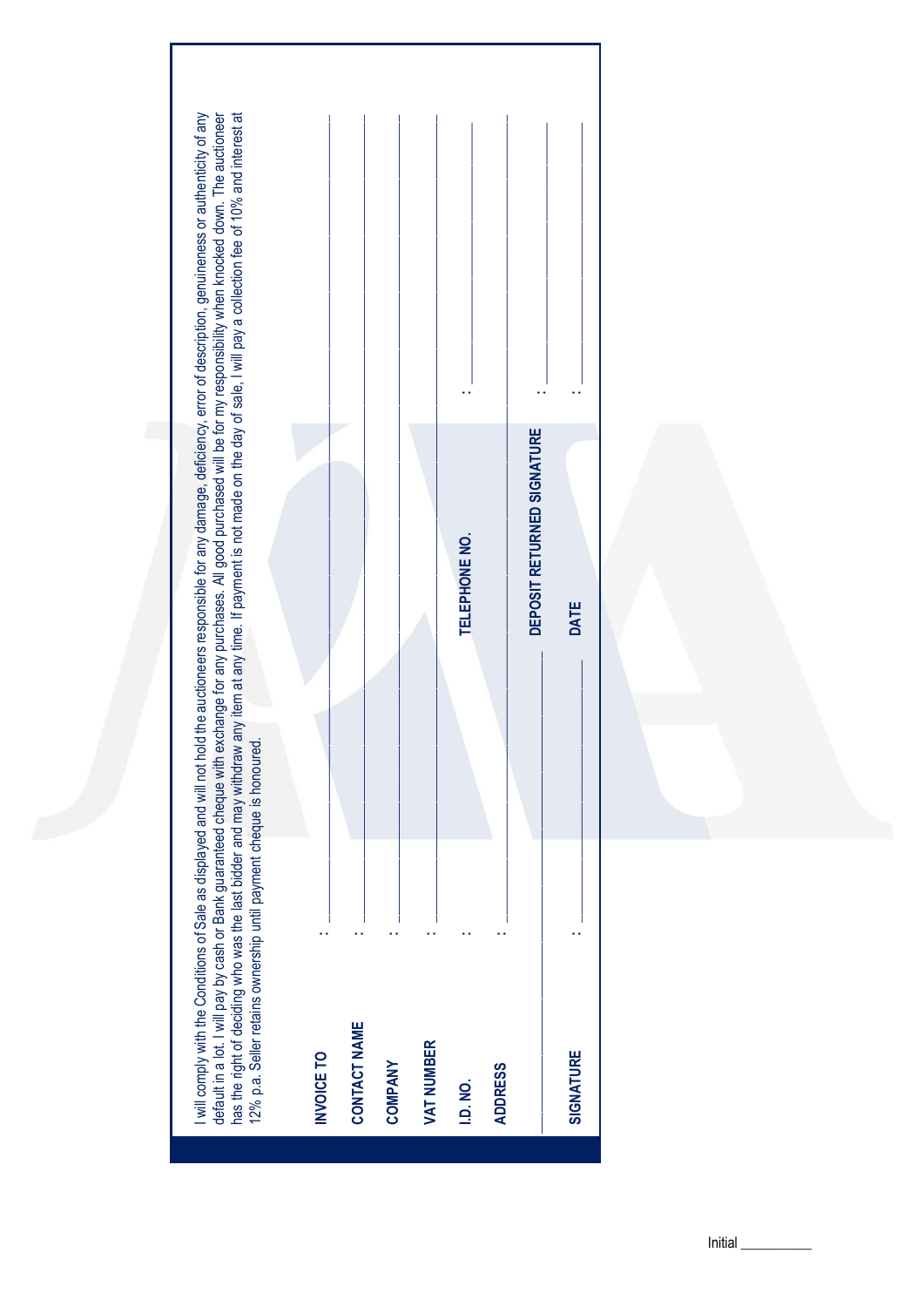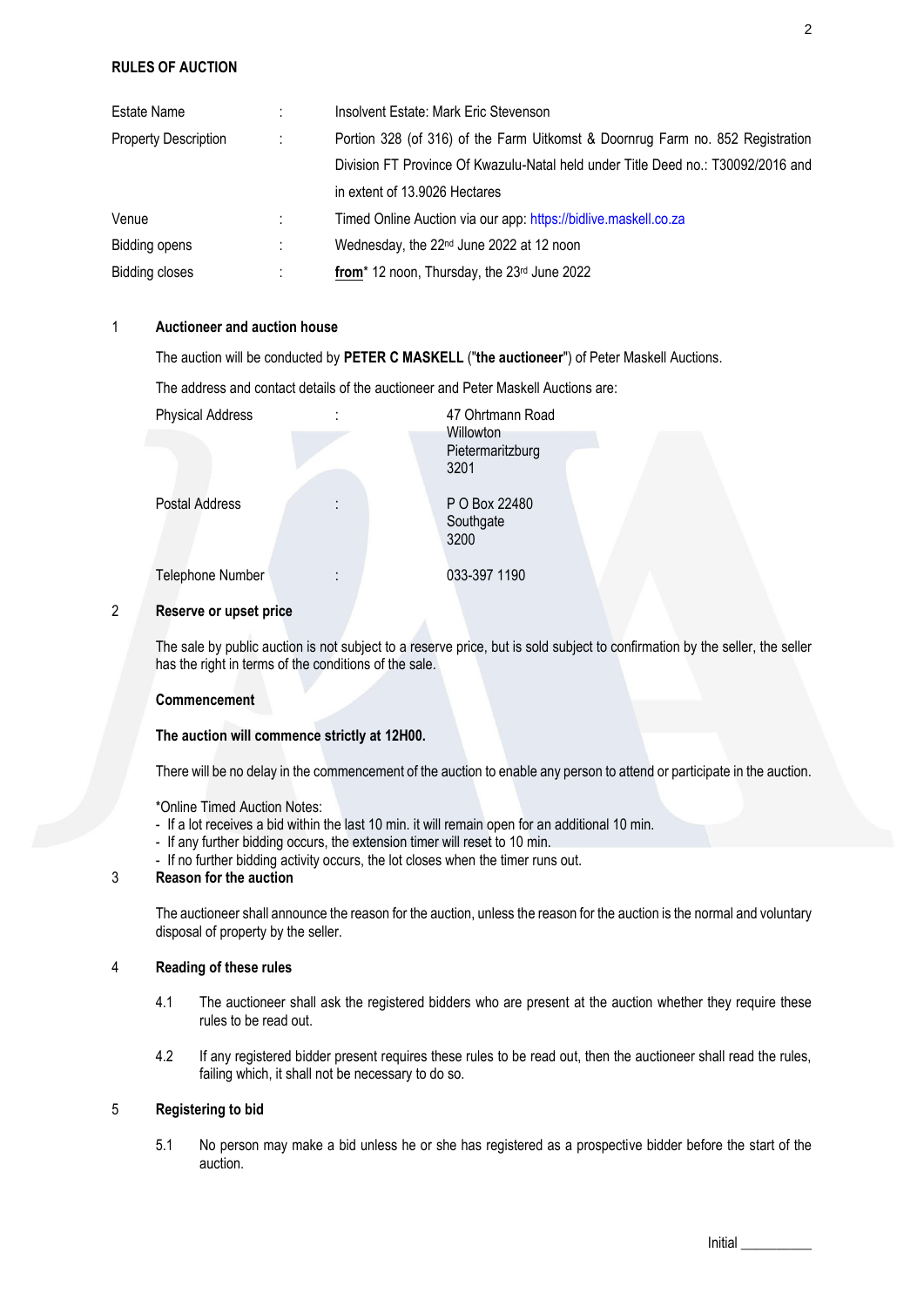# **RULES OF AUCTION**

| Estate Name                 | ÷ | Insolvent Estate: Mark Eric Stevenson                                            |
|-----------------------------|---|----------------------------------------------------------------------------------|
| <b>Property Description</b> | ÷ | Portion 328 (of 316) of the Farm Uitkomst & Doornrug Farm no. 852 Registration   |
|                             |   | Division FT Province Of Kwazulu-Natal held under Title Deed no.: T30092/2016 and |
|                             |   | in extent of 13.9026 Hectares                                                    |
| Venue                       | ÷ | Timed Online Auction via our app: https://bidlive.maskell.co.za                  |
| <b>Bidding opens</b>        | ÷ | Wednesday, the 22 <sup>nd</sup> June 2022 at 12 noon                             |
| <b>Bidding closes</b>       | ÷ | from* 12 noon, Thursday, the 23rd June 2022                                      |

# 1 **Auctioneer and auction house**

The auction will be conducted by **PETER C MASKELL** ("**the auctioneer**") of Peter Maskell Auctions.

<span id="page-1-0"></span>The address and contact details of the auctioneer and Peter Maskell Auctions are:

| <b>Physical Address</b> | ٠      | 47 Ohrtmann Road                      |
|-------------------------|--------|---------------------------------------|
|                         |        | Willowton<br>Pietermaritzburg<br>3201 |
| Postal Address          | ٠<br>٠ | P O Box 22480<br>Southgate<br>3200    |
| Telephone Number        | ٠<br>٠ | 033-397 1190                          |

# 2 **Reserve or upset price**

The sale by public auction is not subject to a reserve price, but is sold subject to confirmation by the seller, the seller has the right in terms of the conditions of the sale.

#### **Commencement**

#### **The auction will commence strictly at 12H00.**

There will be no delay in the commencement of the auction to enable any person to attend or participate in the auction.

\*Online Timed Auction Notes:

- If a lot receives a bid within the last 10 min. it will remain open for an additional 10 min.
- If any further bidding occurs, the extension timer will reset to 10 min.
- If no further bidding activity occurs, the lot closes when the timer runs out.

# 3 **Reason for the auction**

The auctioneer shall announce the reason for the auction, unless the reason for the auction is the normal and voluntary disposal of property by the seller.

## 4 **Reading of these rules**

- 4.1 The auctioneer shall ask the registered bidders who are present at the auction whether they require these rules to be read out.
- 4.2 If any registered bidder present requires these rules to be read out, then the auctioneer shall read the rules, failing which, it shall not be necessary to do so.

## 5 **Registering to bid**

5.1 No person may make a bid unless he or she has registered as a prospective bidder before the start of the auction.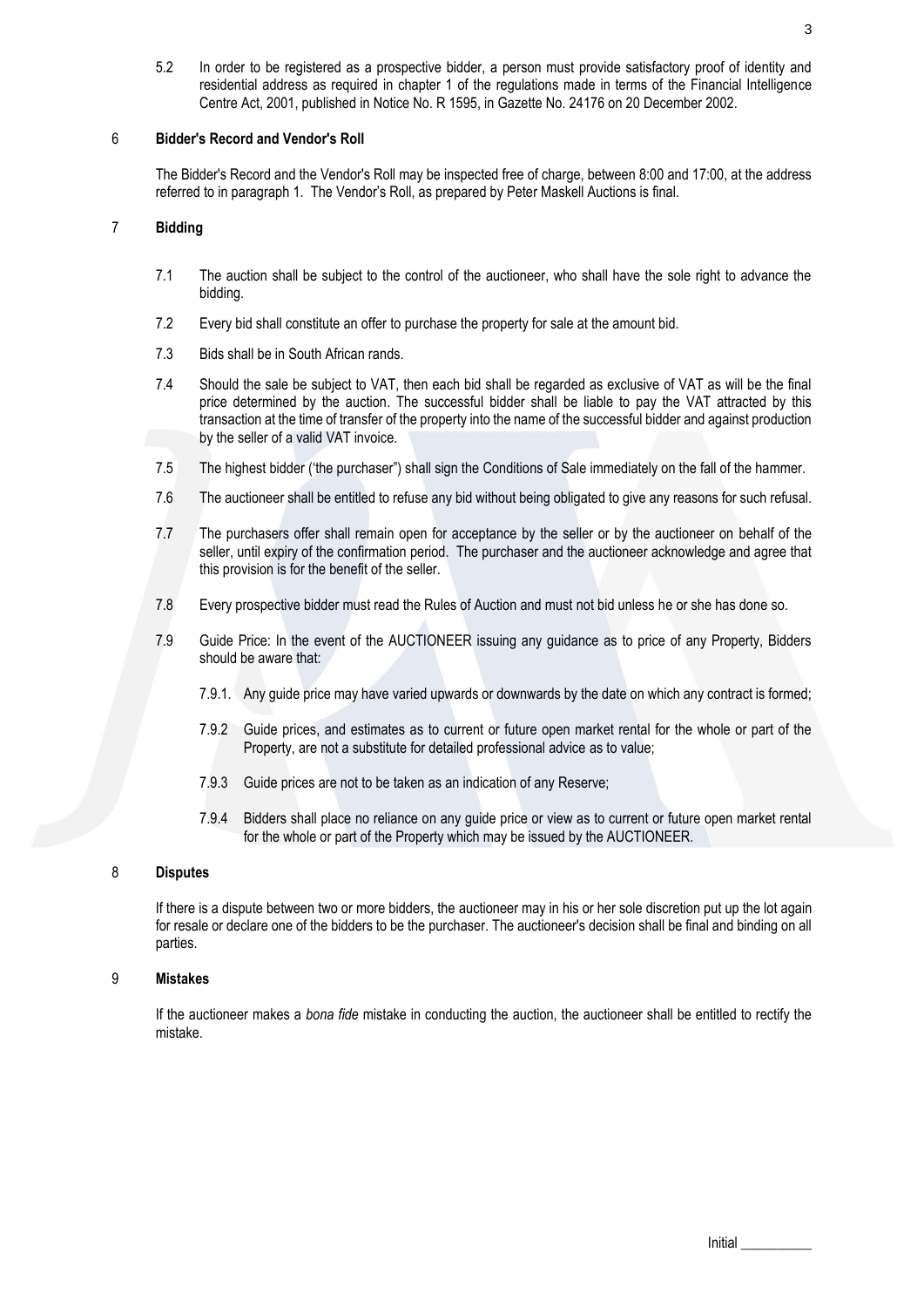5.2 In order to be registered as a prospective bidder, a person must provide satisfactory proof of identity and residential address as required in chapter 1 of the regulations made in terms of the Financial Intelligence Centre Act, 2001, published in Notice No. R 1595, in Gazette No. 24176 on 20 December 2002.

## 6 **Bidder's Record and Vendor's Roll**

The Bidder's Record and the Vendor's Roll may be inspected free of charge, between 8:00 and 17:00, at the address referred to in paragraph 1. The Vendor's Roll, as prepared by Peter Maskell Auctions is final.

## 7 **Bidding**

- 7.1 The auction shall be subject to the control of the auctioneer, who shall have the sole right to advance the bidding.
- 7.2 Every bid shall constitute an offer to purchase the property for sale at the amount bid.
- 7.3 Bids shall be in South African rands.
- 7.4 Should the sale be subject to VAT, then each bid shall be regarded as exclusive of VAT as will be the final price determined by the auction. The successful bidder shall be liable to pay the VAT attracted by this transaction at the time of transfer of the property into the name of the successful bidder and against production by the seller of a valid VAT invoice.
- 7.5 The highest bidder ('the purchaser") shall sign the Conditions of Sale immediately on the fall of the hammer.
- 7.6 The auctioneer shall be entitled to refuse any bid without being obligated to give any reasons for such refusal.
- 7.7 The purchasers offer shall remain open for acceptance by the seller or by the auctioneer on behalf of the seller, until expiry of the confirmation period. The purchaser and the auctioneer acknowledge and agree that this provision is for the benefit of the seller.
- 7.8 Every prospective bidder must read the Rules of Auction and must not bid unless he or she has done so.
- 7.9 Guide Price: In the event of the AUCTIONEER issuing any guidance as to price of any Property, Bidders should be aware that:
	- 7.9.1. Any guide price may have varied upwards or downwards by the date on which any contract is formed;
	- 7.9.2 Guide prices, and estimates as to current or future open market rental for the whole or part of the Property, are not a substitute for detailed professional advice as to value;
	- 7.9.3 Guide prices are not to be taken as an indication of any Reserve;
	- 7.9.4 Bidders shall place no reliance on any guide price or view as to current or future open market rental for the whole or part of the Property which may be issued by the AUCTIONEER.

## 8 **Disputes**

If there is a dispute between two or more bidders, the auctioneer may in his or her sole discretion put up the lot again for resale or declare one of the bidders to be the purchaser. The auctioneer's decision shall be final and binding on all parties.

# 9 **Mistakes**

If the auctioneer makes a *bona fide* mistake in conducting the auction, the auctioneer shall be entitled to rectify the mistake.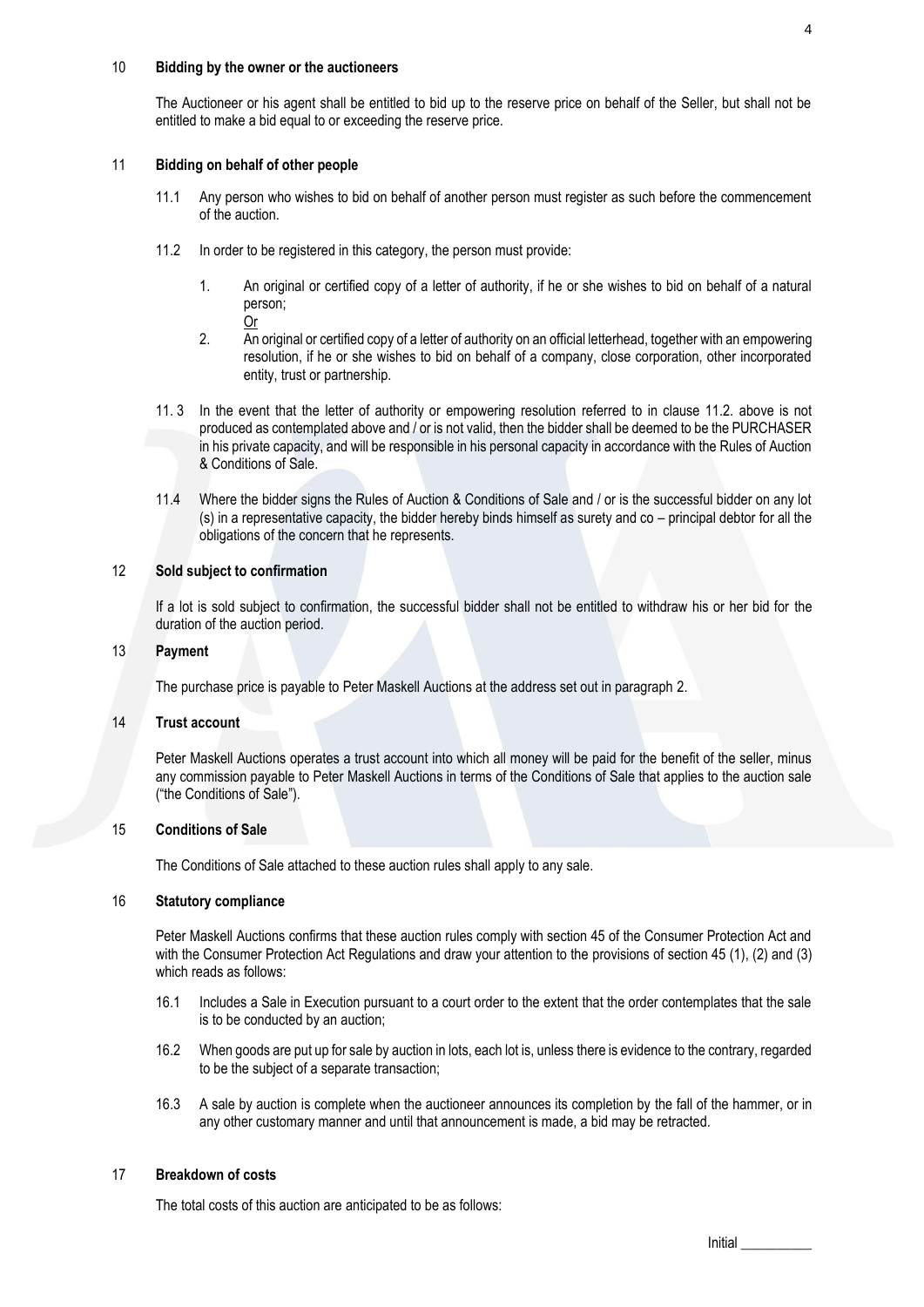#### 10 **Bidding by the owner or the auctioneers**

The Auctioneer or his agent shall be entitled to bid up to the reserve price on behalf of the Seller, but shall not be entitled to make a bid equal to or exceeding the reserve price.

#### 11 **Bidding on behalf of other people**

- 11.1 Any person who wishes to bid on behalf of another person must register as such before the commencement of the auction.
- 11.2 In order to be registered in this category, the person must provide:
	- 1. An original or certified copy of a letter of authority, if he or she wishes to bid on behalf of a natural person; Or
	- 2. An original or certified copy of a letter of authority on an official letterhead, together with an empowering resolution, if he or she wishes to bid on behalf of a company, close corporation, other incorporated entity, trust or partnership.
- 11. 3 In the event that the letter of authority or empowering resolution referred to in clause 11.2. above is not produced as contemplated above and / or is not valid, then the bidder shall be deemed to be the PURCHASER in his private capacity, and will be responsible in his personal capacity in accordance with the Rules of Auction & Conditions of Sale.
- 11.4 Where the bidder signs the Rules of Auction & Conditions of Sale and / or is the successful bidder on any lot (s) in a representative capacity, the bidder hereby binds himself as surety and co – principal debtor for all the obligations of the concern that he represents.

### 12 **Sold subject to confirmation**

If a lot is sold subject to confirmation, the successful bidder shall not be entitled to withdraw his or her bid for the duration of the auction period.

## 13 **Payment**

The purchase price is payable to Peter Maskell Auctions at the address set out in paragraph [2.](#page-1-0)

#### 14 **Trust account**

Peter Maskell Auctions operates a trust account into which all money will be paid for the benefit of the seller, minus any commission payable to Peter Maskell Auctions in terms of the Conditions of Sale that applies to the auction sale ("the Conditions of Sale").

## 15 **Conditions of Sale**

The Conditions of Sale attached to these auction rules shall apply to any sale.

#### 16 **Statutory compliance**

Peter Maskell Auctions confirms that these auction rules comply with section 45 of the Consumer Protection Act and with the Consumer Protection Act Regulations and draw your attention to the provisions of section 45 (1), (2) and (3) which reads as follows:

- 16.1 Includes a Sale in Execution pursuant to a court order to the extent that the order contemplates that the sale is to be conducted by an auction;
- 16.2 When goods are put up for sale by auction in lots, each lot is, unless there is evidence to the contrary, regarded to be the subject of a separate transaction;
- 16.3 A sale by auction is complete when the auctioneer announces its completion by the fall of the hammer, or in any other customary manner and until that announcement is made, a bid may be retracted.

#### 17 **Breakdown of costs**

The total costs of this auction are anticipated to be as follows: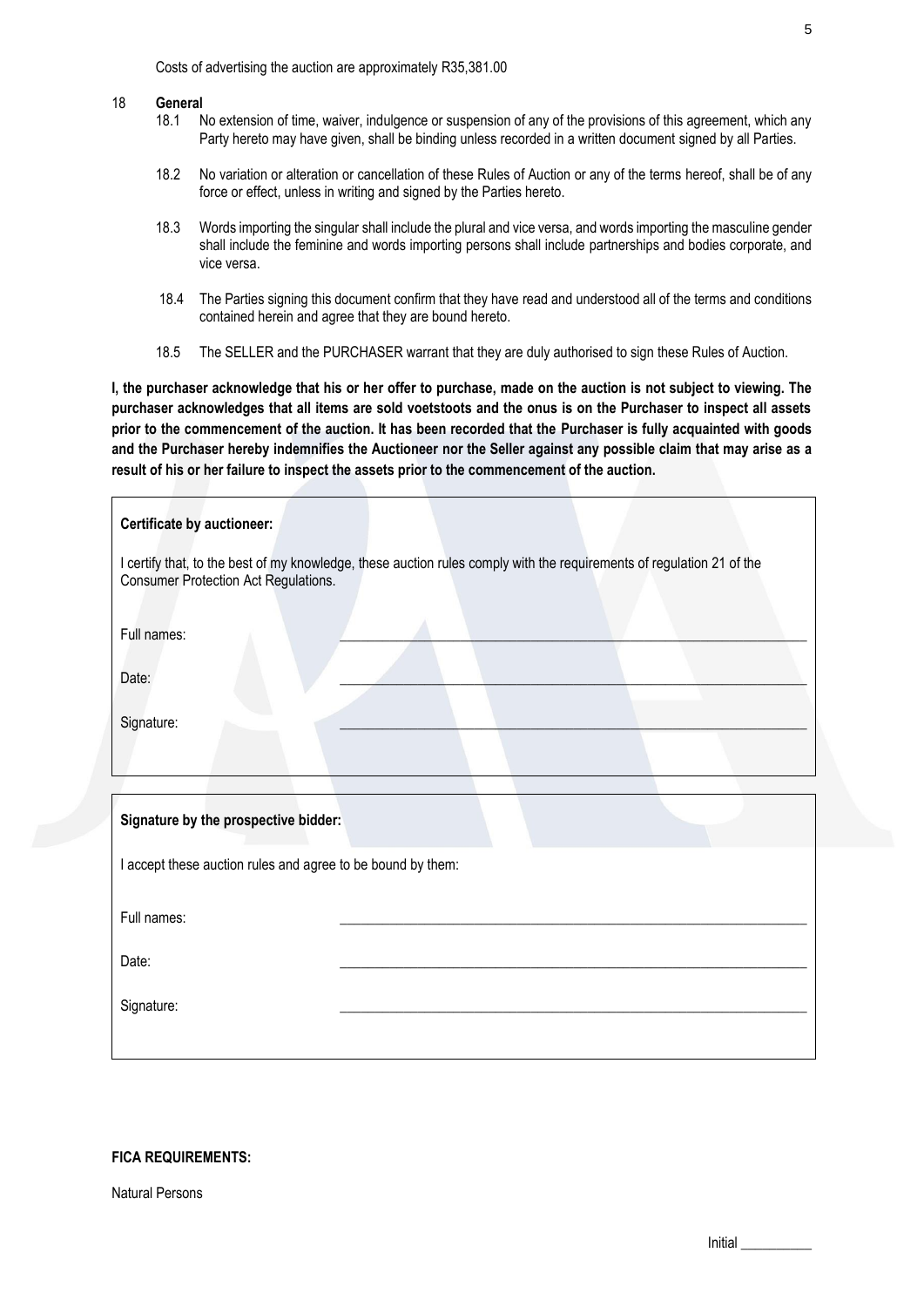Costs of advertising the auction are approximately R35,381.00

# 18 **General**

- No extension of time, waiver, indulgence or suspension of any of the provisions of this agreement, which any Party hereto may have given, shall be binding unless recorded in a written document signed by all Parties.
- 18.2 No variation or alteration or cancellation of these Rules of Auction or any of the terms hereof, shall be of any force or effect, unless in writing and signed by the Parties hereto.
- 18.3 Words importing the singular shall include the plural and vice versa, and words importing the masculine gender shall include the feminine and words importing persons shall include partnerships and bodies corporate, and vice versa.
- 18.4 The Parties signing this document confirm that they have read and understood all of the terms and conditions contained herein and agree that they are bound hereto.
- 18.5 The SELLER and the PURCHASER warrant that they are duly authorised to sign these Rules of Auction.

**I, the purchaser acknowledge that his or her offer to purchase, made on the auction is not subject to viewing. The purchaser acknowledges that all items are sold voetstoots and the onus is on the Purchaser to inspect all assets prior to the commencement of the auction. It has been recorded that the Purchaser is fully acquainted with goods and the Purchaser hereby indemnifies the Auctioneer nor the Seller against any possible claim that may arise as a result of his or her failure to inspect the assets prior to the commencement of the auction.** 

| <b>Certificate by auctioneer:</b>                                                                                                                             |  |  |  |  |  |
|---------------------------------------------------------------------------------------------------------------------------------------------------------------|--|--|--|--|--|
| I certify that, to the best of my knowledge, these auction rules comply with the requirements of regulation 21 of the<br>Consumer Protection Act Regulations. |  |  |  |  |  |
| Full names:                                                                                                                                                   |  |  |  |  |  |
| Date:                                                                                                                                                         |  |  |  |  |  |
| Signature:                                                                                                                                                    |  |  |  |  |  |
|                                                                                                                                                               |  |  |  |  |  |
| Signature by the prospective bidder:                                                                                                                          |  |  |  |  |  |
| I accept these auction rules and agree to be bound by them:                                                                                                   |  |  |  |  |  |
| Full names:                                                                                                                                                   |  |  |  |  |  |
| Date:                                                                                                                                                         |  |  |  |  |  |
| Signature:                                                                                                                                                    |  |  |  |  |  |
|                                                                                                                                                               |  |  |  |  |  |

## **FICA REQUIREMENTS:**

Natural Persons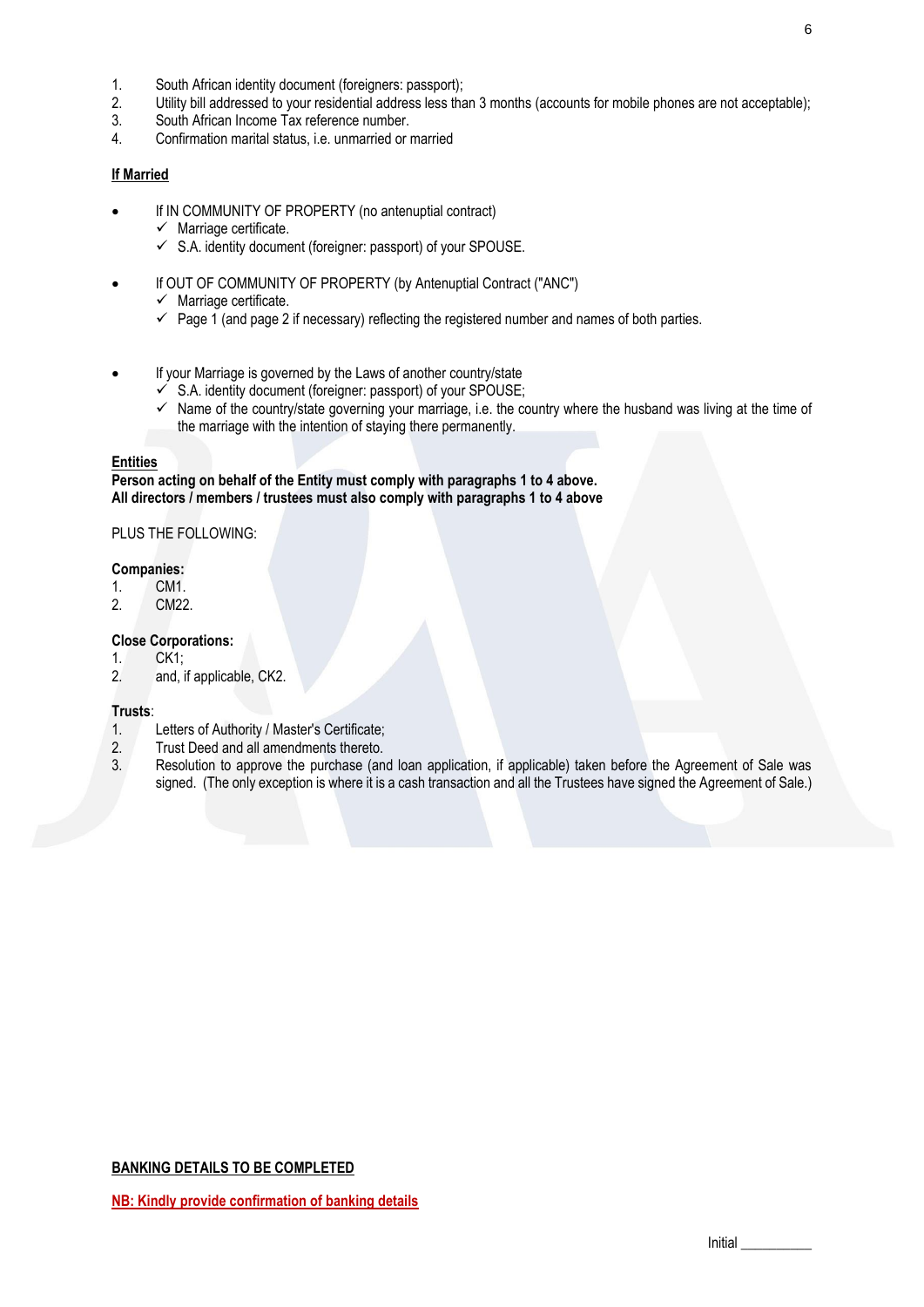- 1. South African identity document (foreigners: passport);
- 2. Utility bill addressed to your residential address less than 3 months (accounts for mobile phones are not acceptable);
- 3. South African Income Tax reference number.
- 4. Confirmation marital status, i.e. unmarried or married

## **If Married**

- If IN COMMUNITY OF PROPERTY (no antenuptial contract)
	- $\checkmark$  Marriage certificate.
	- $\checkmark$  S.A. identity document (foreigner: passport) of your SPOUSE.
- If OUT OF COMMUNITY OF PROPERTY (by Antenuptial Contract ("ANC")
	- $\checkmark$  Marriage certificate.
	- $\checkmark$  Page 1 (and page 2 if necessary) reflecting the registered number and names of both parties.
- If your Marriage is governed by the Laws of another country/state
	- $\checkmark$  S.A. identity document (foreigner: passport) of your SPOUSE;
	- $\checkmark$  Name of the country/state governing your marriage, i.e. the country where the husband was living at the time of the marriage with the intention of staying there permanently.

#### **Entities**

**Person acting on behalf of the Entity must comply with paragraphs 1 to 4 above. All directors / members / trustees must also comply with paragraphs 1 to 4 above** 

## PLUS THE FOLLOWING:

#### **Companies:**

- 1. CM1.<br>2. CM22
- CM22.

# **Close Corporations:**

- 1. CK1;
- 2. and, if applicable, CK2.

#### **Trusts**:

- 1. Letters of Authority / Master's Certificate;
- 2. Trust Deed and all amendments thereto.
- 3. Resolution to approve the purchase (and loan application, if applicable) taken before the Agreement of Sale was signed. (The only exception is where it is a cash transaction and all the Trustees have signed the Agreement of Sale.)

## **BANKING DETAILS TO BE COMPLETED**